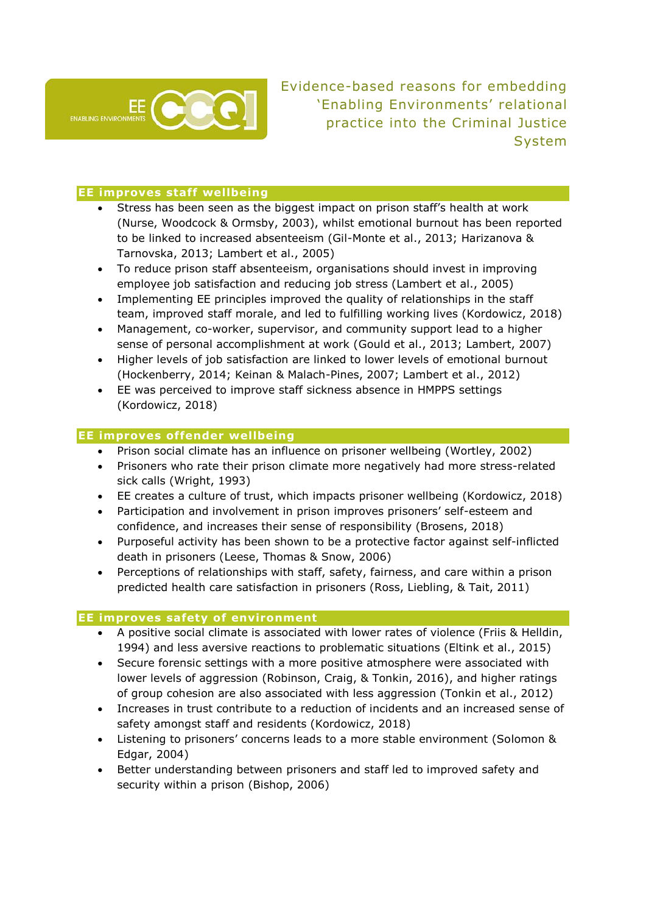

Evidence-based reasons for embedding 'Enabling Environments' relational practice into the Criminal Justice System

## **EE improves staff wellbeing**

- Stress has been seen as the biggest impact on prison staff's health at work (Nurse, Woodcock & Ormsby, 2003), whilst emotional burnout has been reported to be linked to increased absenteeism (Gil-Monte et al., 2013; Harizanova & Tarnovska, 2013; Lambert et al., 2005)
- To reduce prison staff absenteeism, organisations should invest in improving employee job satisfaction and reducing job stress (Lambert et al., 2005)
- Implementing EE principles improved the quality of relationships in the staff team, improved staff morale, and led to fulfilling working lives (Kordowicz, 2018)
- Management, co-worker, supervisor, and community support lead to a higher sense of personal accomplishment at work (Gould et al., 2013; Lambert, 2007)
- Higher levels of job satisfaction are linked to lower levels of emotional burnout (Hockenberry, 2014; Keinan & Malach-Pines, 2007; Lambert et al., 2012)
- EE was perceived to improve staff sickness absence in HMPPS settings (Kordowicz, 2018)

### **EE improves offender wellbeing**

- Prison social climate has an influence on prisoner wellbeing (Wortley, 2002)
- Prisoners who rate their prison climate more negatively had more stress-related sick calls (Wright, 1993)
- EE creates a culture of trust, which impacts prisoner wellbeing (Kordowicz, 2018)
- Participation and involvement in prison improves prisoners' self-esteem and confidence, and increases their sense of responsibility (Brosens, 2018)
- Purposeful activity has been shown to be a protective factor against self-inflicted death in prisoners (Leese, Thomas & Snow, 2006)
- Perceptions of relationships with staff, safety, fairness, and care within a prison predicted health care satisfaction in prisoners (Ross, Liebling, & Tait, 2011)

#### **EE improves safety of environment**

- A positive social climate is associated with lower rates of violence (Friis & Helldin, 1994) and less aversive reactions to problematic situations (Eltink et al., 2015)
- Secure forensic settings with a more positive atmosphere were associated with lower levels of aggression (Robinson, Craig, & Tonkin, 2016), and higher ratings of group cohesion are also associated with less aggression (Tonkin et al., 2012)
- Increases in trust contribute to a reduction of incidents and an increased sense of safety amongst staff and residents (Kordowicz, 2018)
- Listening to prisoners' concerns leads to a more stable environment (Solomon & Edgar, 2004)
- Better understanding between prisoners and staff led to improved safety and security within a prison (Bishop, 2006)